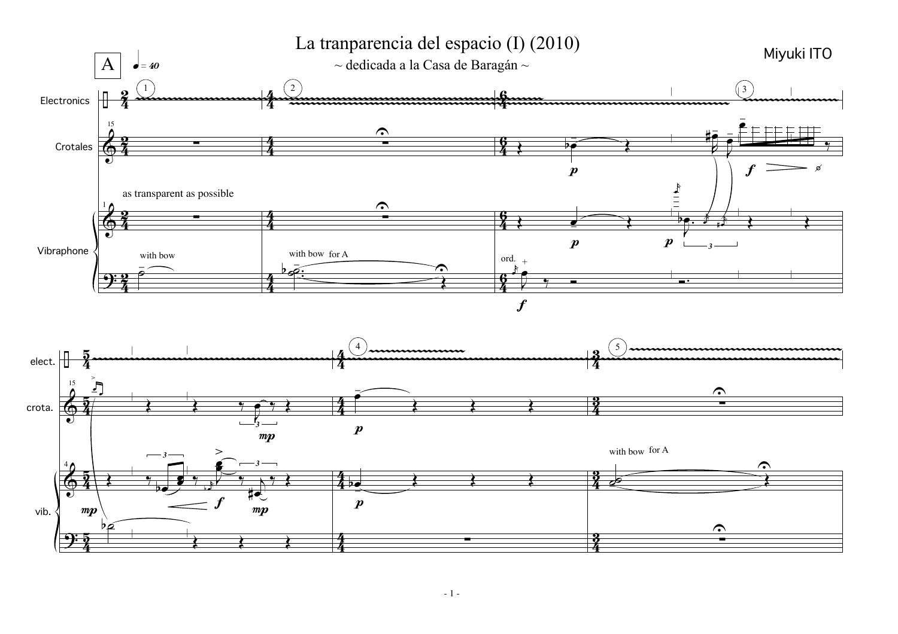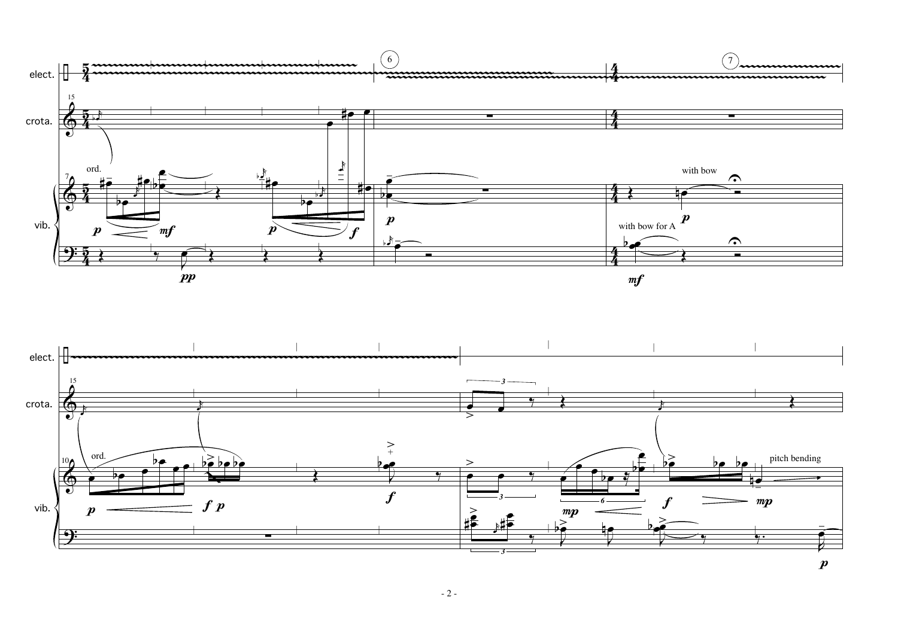



p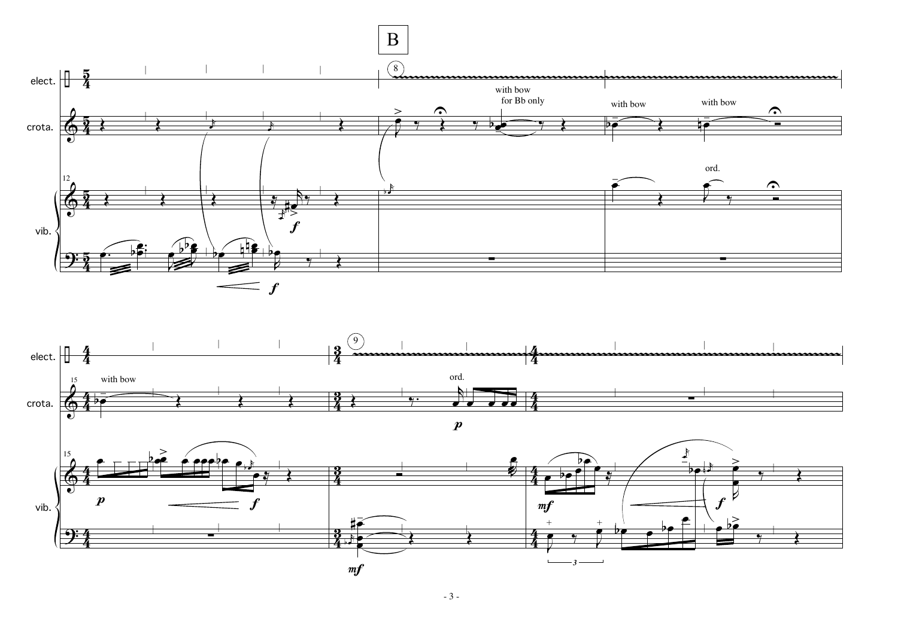

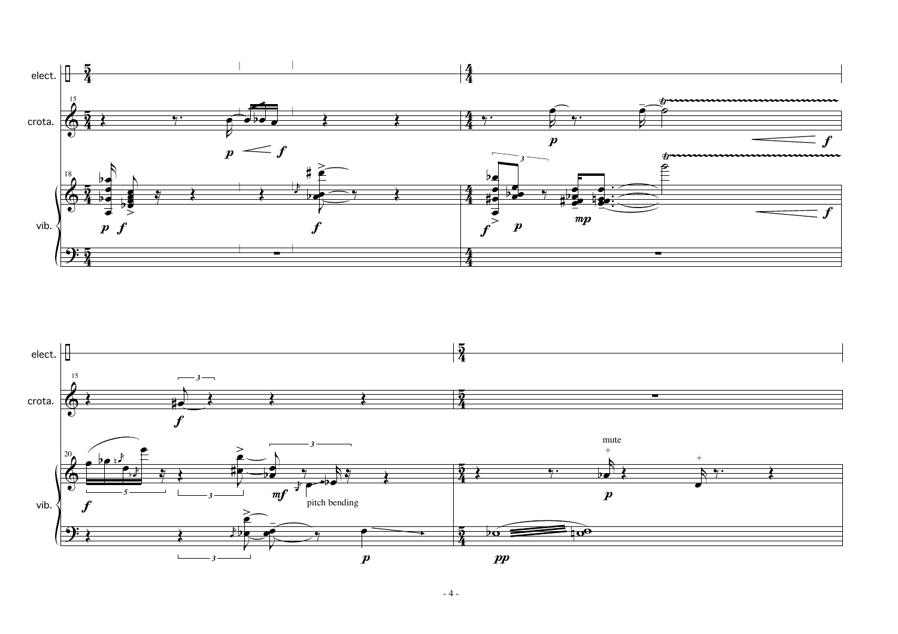

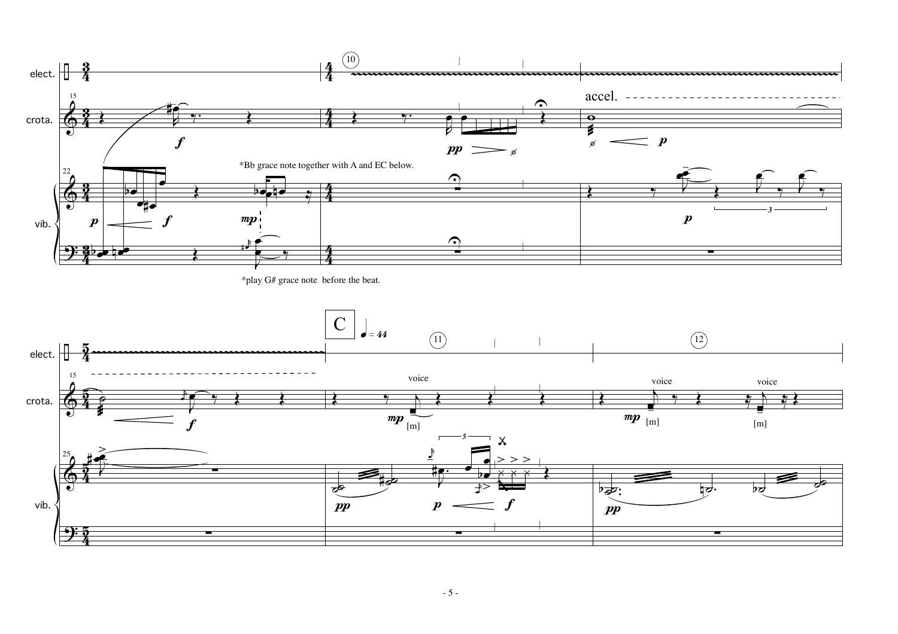

\*play G# grace note before the beat.

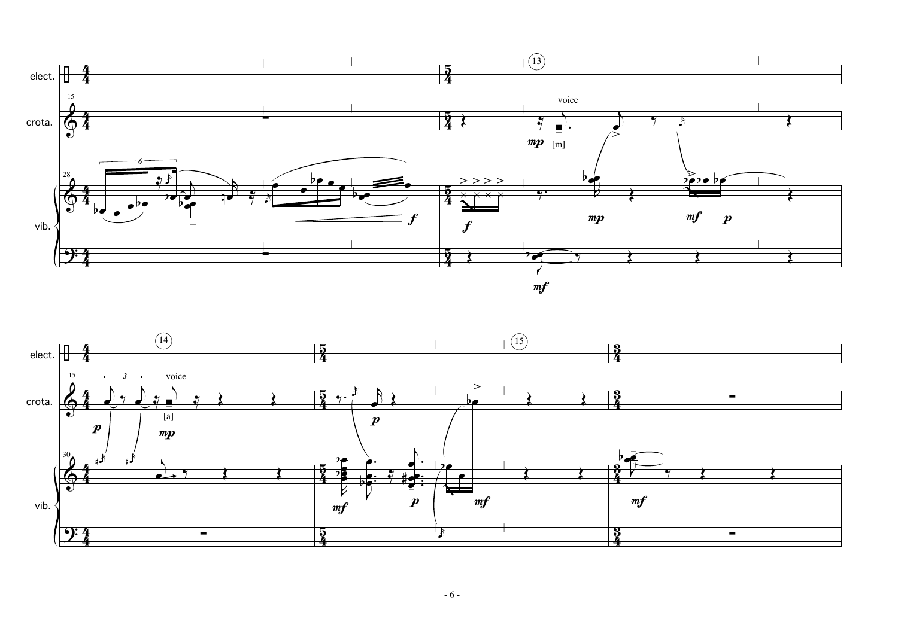



- 6 -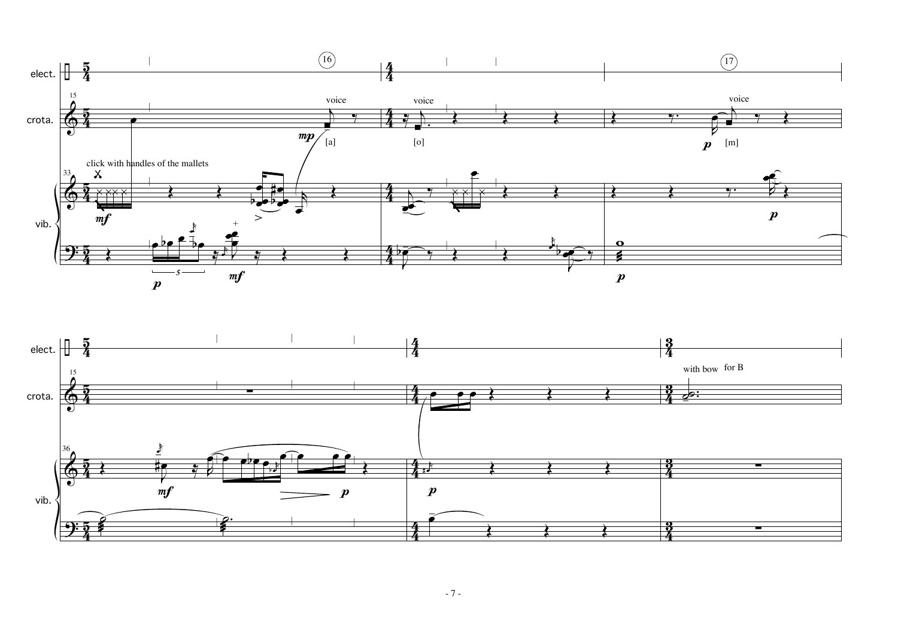

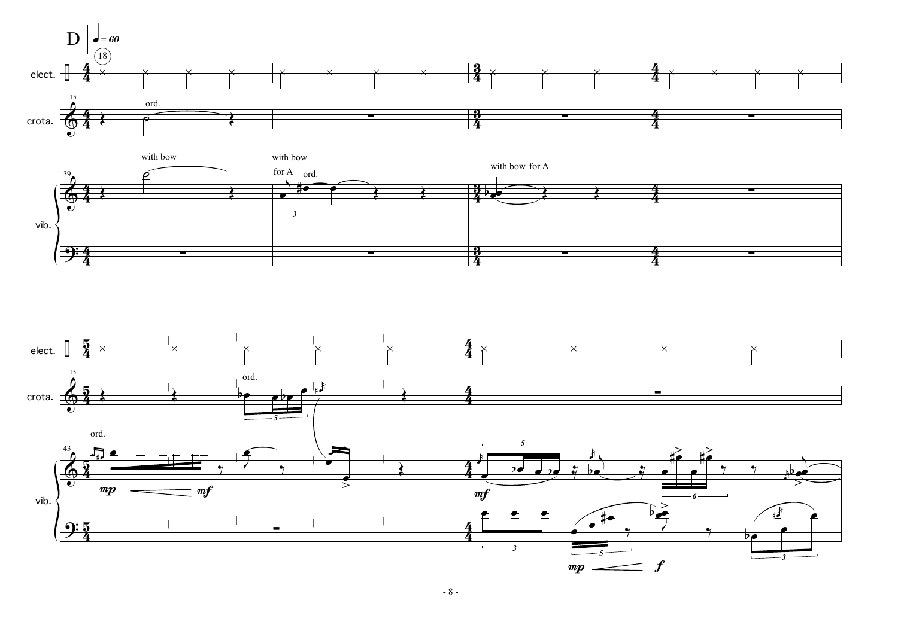

- 8 -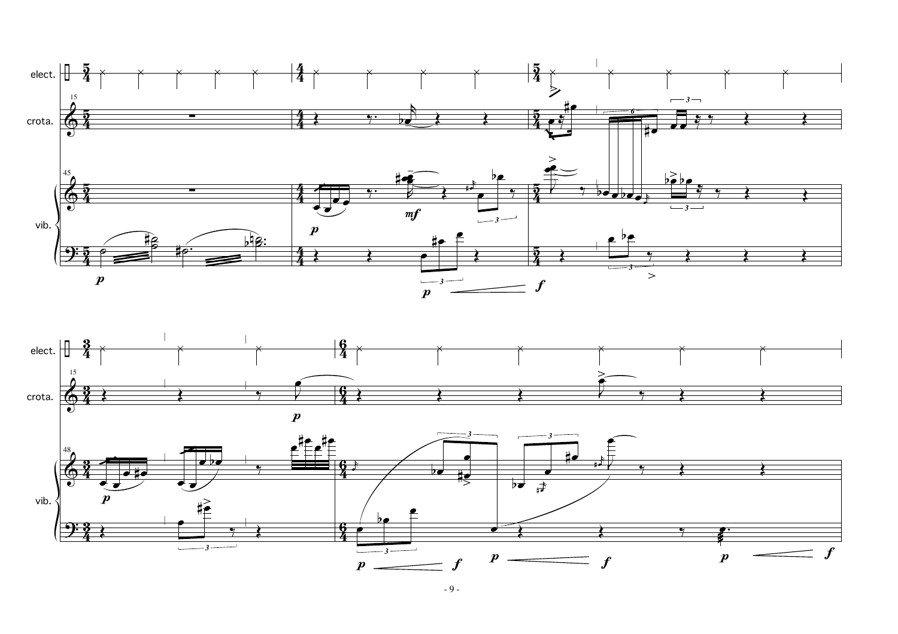



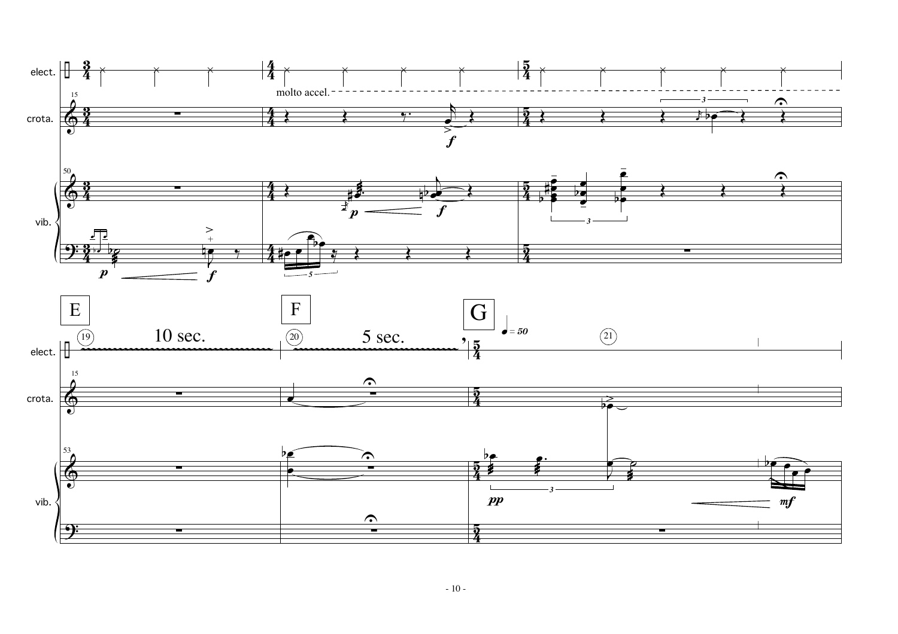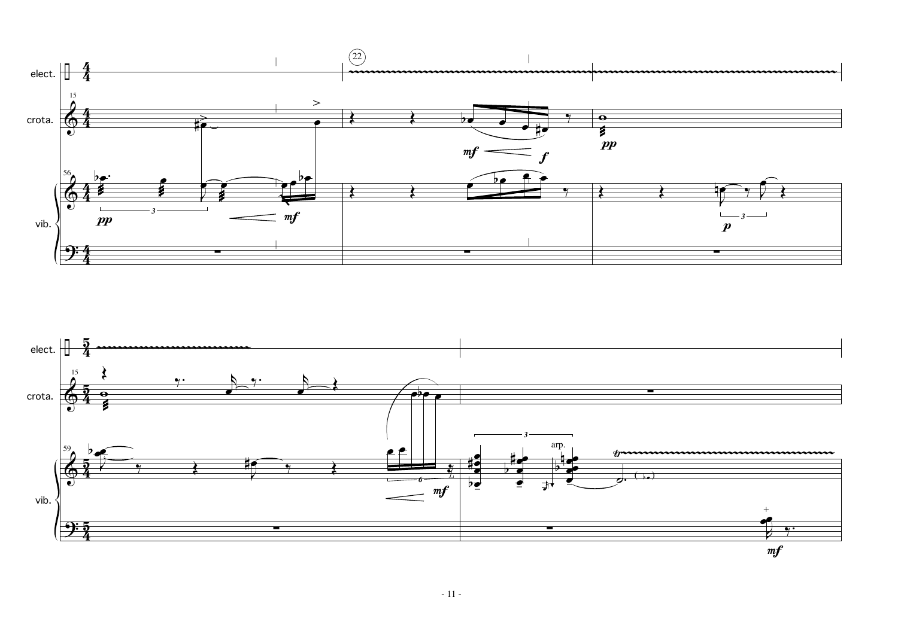![](_page_10_Figure_0.jpeg)

![](_page_10_Figure_1.jpeg)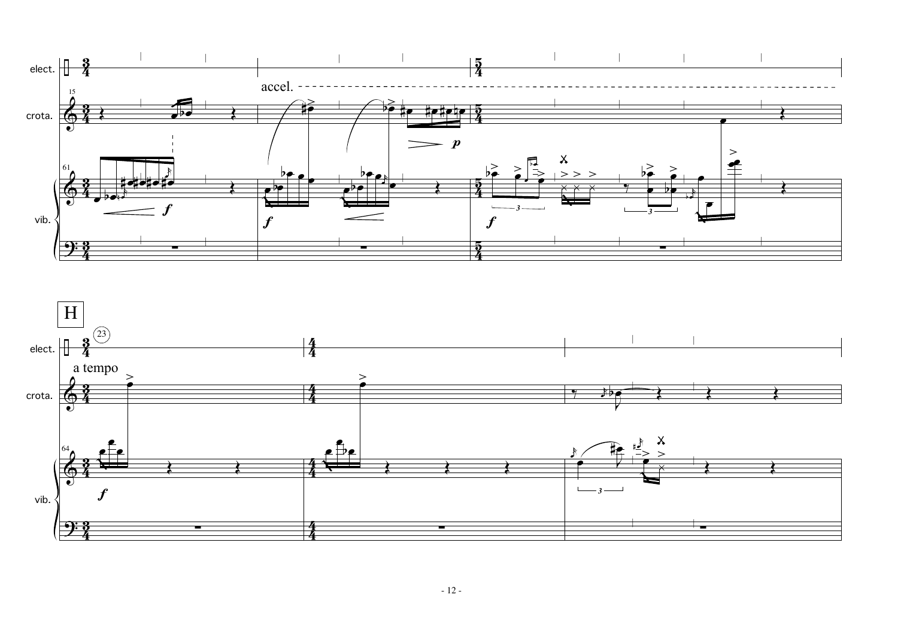![](_page_11_Figure_0.jpeg)

![](_page_11_Figure_1.jpeg)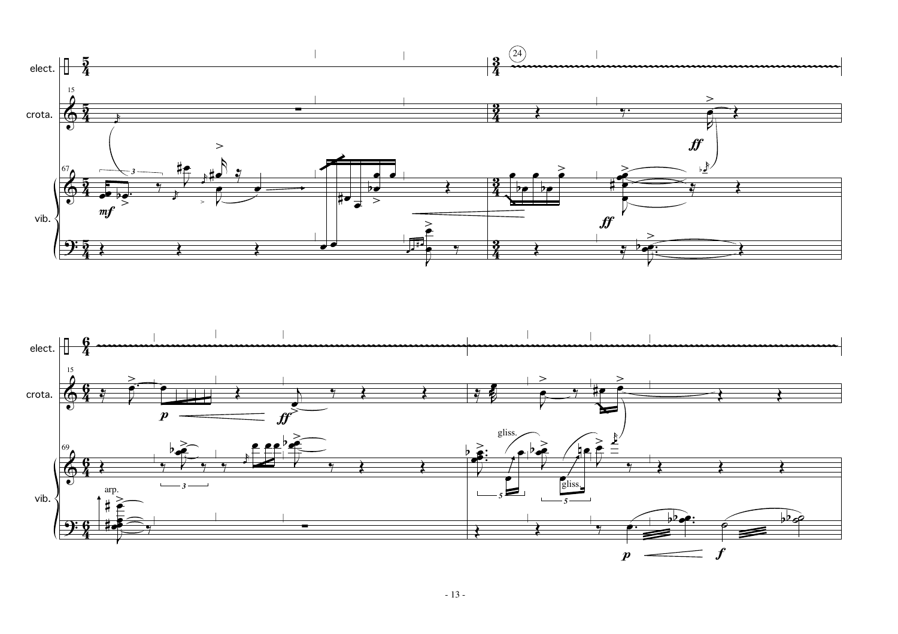![](_page_12_Figure_0.jpeg)

![](_page_12_Figure_1.jpeg)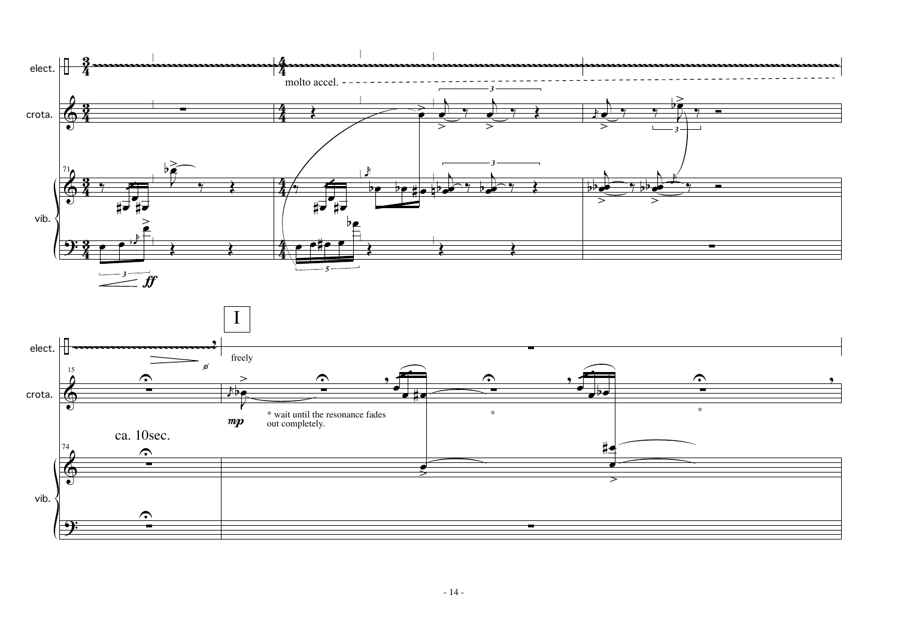![](_page_13_Figure_0.jpeg)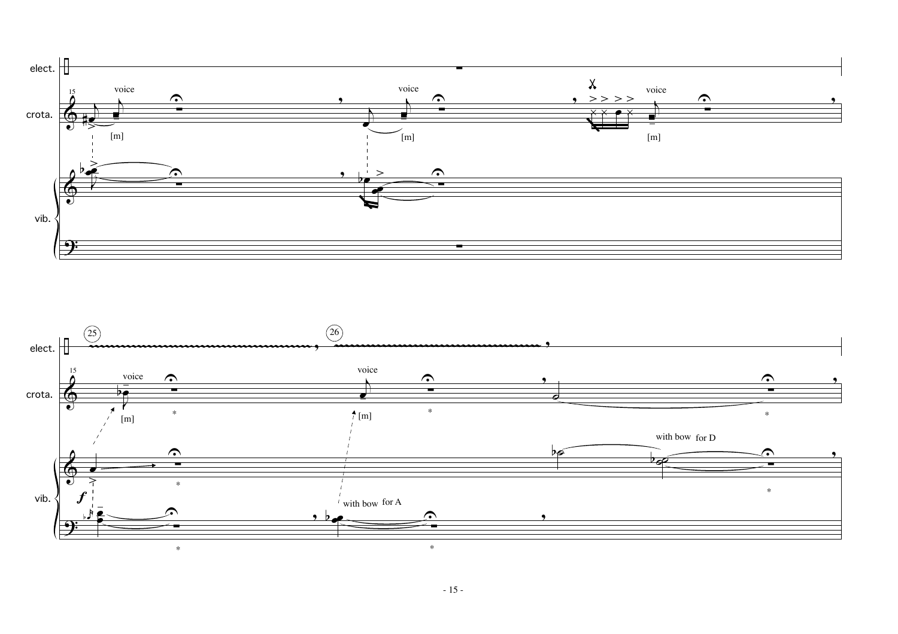![](_page_14_Figure_0.jpeg)

![](_page_14_Figure_1.jpeg)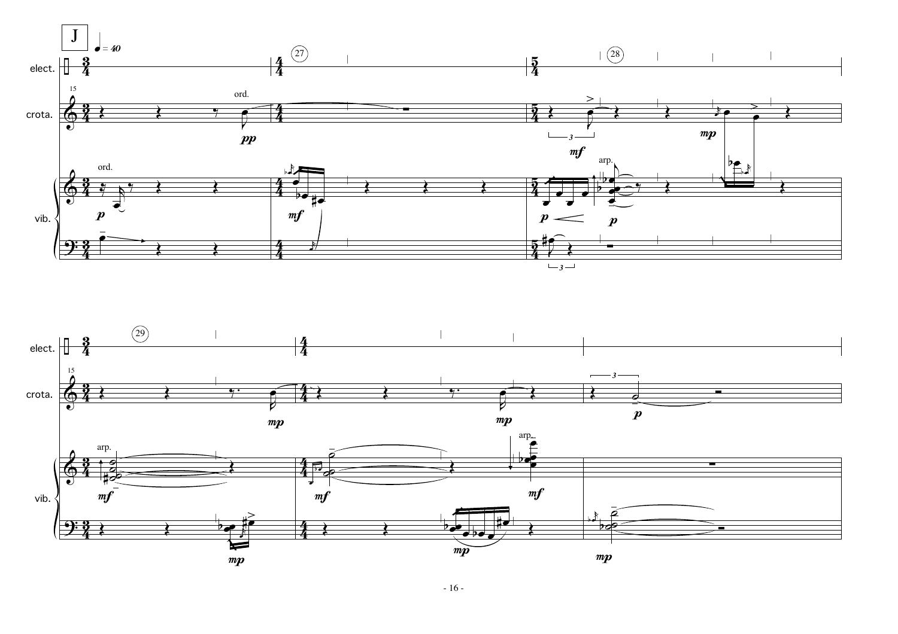![](_page_15_Figure_0.jpeg)

![](_page_15_Figure_1.jpeg)

 $mp$ 

- 16 -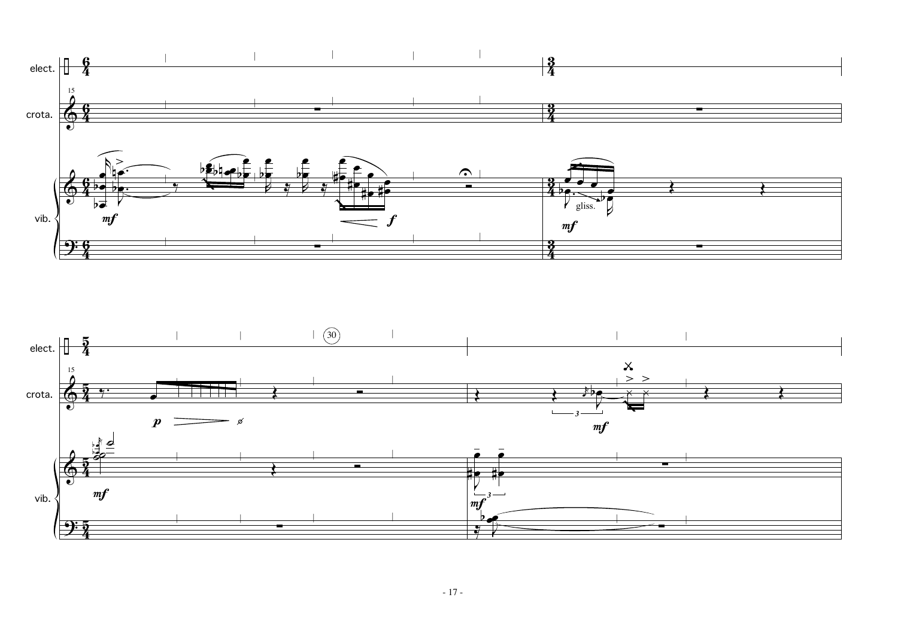![](_page_16_Figure_0.jpeg)

![](_page_16_Figure_1.jpeg)